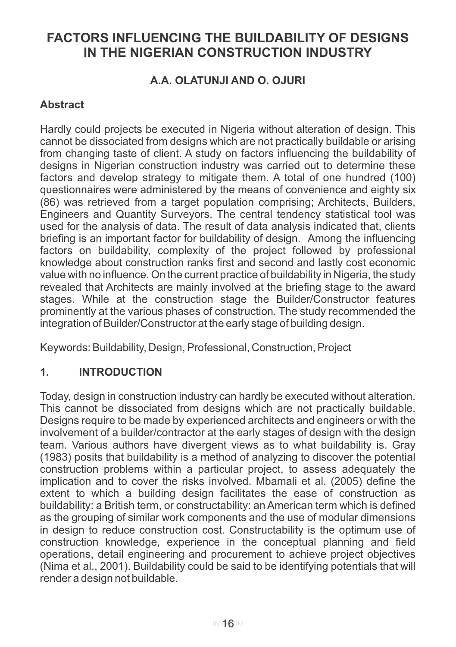# **FACTORS INFLUENCING THE BUILDABILITY OF DESIGNS IN THE NIGERIAN CONSTRUCTION INDUSTRY**

# **A.A. OLATUNJI AND O. OJURI**

# **Abstract**

Hardly could projects be executed in Nigeria without alteration of design. This cannot be dissociated from designs which are not practically buildable or arising from changing taste of client. A study on factors influencing the buildability of designs in Nigerian construction industry was carried out to determine these factors and develop strategy to mitigate them. A total of one hundred (100) questionnaires were administered by the means of convenience and eighty six (86) was retrieved from a target population comprising; Architects, Builders, Engineers and Quantity Surveyors. The central tendency statistical tool was used for the analysis of data. The result of data analysis indicated that, clients briefing is an important factor for buildability of design. Among the influencing factors on buildability, complexity of the project followed by professional knowledge about construction ranks first and second and lastly cost economic value with no influence. On the current practice of buildability in Nigeria, the study revealed that Architects are mainly involved at the briefing stage to the award stages. While at the construction stage the Builder/Constructor features prominently at the various phases of construction. The study recommended the integration of Builder/Constructor at the early stage of building design.

Keywords: Buildability, Design, Professional, Construction, Project

# **1. INTRODUCTION**

Today, design in construction industry can hardly be executed without alteration. This cannot be dissociated from designs which are not practically buildable. Designs require to be made by experienced architects and engineers or with the involvement of a builder/contractor at the early stages of design with the design team. Various authors have divergent views as to what buildability is. Gray (1983) posits that buildability is a method of analyzing to discover the potential construction problems within a particular project, to assess adequately the implication and to cover the risks involved. Mbamali et al. (2005) define the extent to which a building design facilitates the ease of construction as buildability: a British term, or constructability: an American term which is defined as the grouping of similar work components and the use of modular dimensions in design to reduce construction cost. Constructability is the optimum use of construction knowledge, experience in the conceptual planning and field operations, detail engineering and procurement to achieve project objectives (Nima et al., 2001). Buildability could be said to be identifying potentials that will render a design not buildable.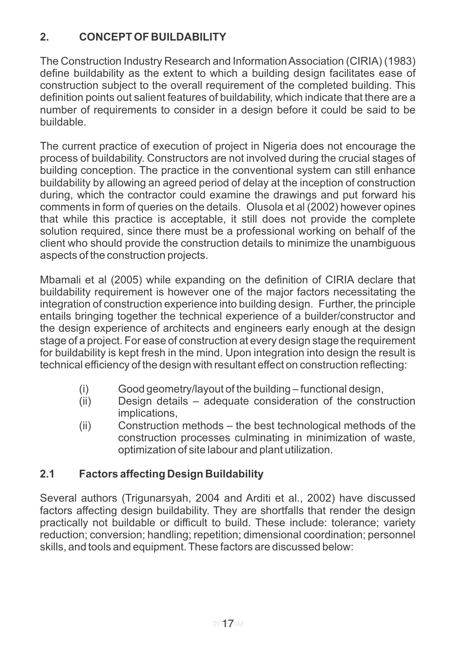# **2. CONCEPT OF BUILDABILITY**

The Construction Industry Research and Information Association (CIRIA) (1983) define buildability as the extent to which a building design facilitates ease of construction subject to the overall requirement of the completed building. This definition points out salient features of buildability, which indicate that there are a number of requirements to consider in a design before it could be said to be buildable.

The current practice of execution of project in Nigeria does not encourage the process of buildability. Constructors are not involved during the crucial stages of building conception. The practice in the conventional system can still enhance buildability by allowing an agreed period of delay at the inception of construction during, which the contractor could examine the drawings and put forward his comments in form of queries on the details. Olusola et al (2002) however opines that while this practice is acceptable, it still does not provide the complete solution required, since there must be a professional working on behalf of the client who should provide the construction details to minimize the unambiguous aspects of the construction projects.

Mbamali et al (2005) while expanding on the definition of CIRIA declare that buildability requirement is however one of the major factors necessitating the integration of construction experience into building design. Further, the principle entails bringing together the technical experience of a builder/constructor and the design experience of architects and engineers early enough at the design stage of a project. For ease of construction at every design stage the requirement for buildability is kept fresh in the mind. Upon integration into design the result is technical efficiency of the design with resultant effect on construction reflecting:

- (i) Good geometry/layout of the building functional design,
- (ii) Design details adequate consideration of the construction implications,
- (ii) Construction methods the best technological methods of the construction processes culminating in minimization of waste, optimization of site labour and plant utilization.

# **2.1 Factors affecting Design Buildability**

Several authors (Trigunarsyah, 2004 and Arditi et al., 2002) have discussed factors affecting design buildability. They are shortfalls that render the design practically not buildable or difficult to build. These include: tolerance; variety reduction; conversion; handling; repetition; dimensional coordination; personnel skills, and tools and equipment. These factors are discussed below: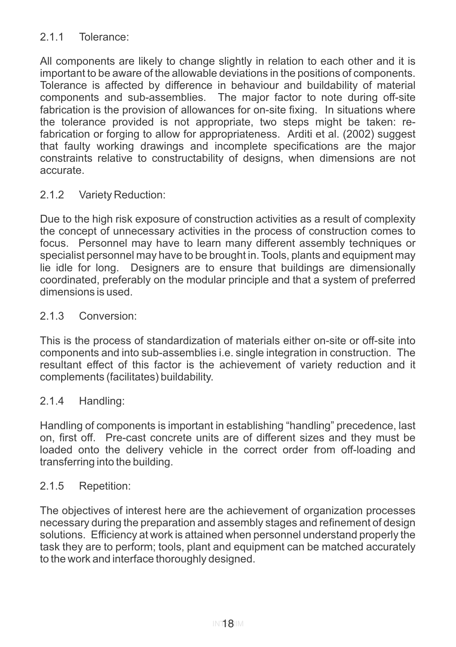### 2.1.1 Tolerance:

All components are likely to change slightly in relation to each other and it is important to be aware of the allowable deviations in the positions of components. Tolerance is affected by difference in behaviour and buildability of material components and sub-assemblies. The major factor to note during off-site fabrication is the provision of allowances for on-site fixing. In situations where the tolerance provided is not appropriate, two steps might be taken: refabrication or forging to allow for appropriateness. Arditi et al. (2002) suggest that faulty working drawings and incomplete specifications are the major constraints relative to constructability of designs, when dimensions are not accurate.

#### 2.1.2 Variety Reduction:

Due to the high risk exposure of construction activities as a result of complexity the concept of unnecessary activities in the process of construction comes to focus. Personnel may have to learn many different assembly techniques or specialist personnel may have to be brought in. Tools, plants and equipment may lie idle for long. Designers are to ensure that buildings are dimensionally coordinated, preferably on the modular principle and that a system of preferred dimensions is used.

#### 2.1.3 Conversion:

This is the process of standardization of materials either on-site or off-site into components and into sub-assemblies i.e. single integration in construction. The resultant effect of this factor is the achievement of variety reduction and it complements (facilitates) buildability.

#### 2.1.4 Handling:

Handling of components is important in establishing "handling" precedence, last on, first off. Pre-cast concrete units are of different sizes and they must be loaded onto the delivery vehicle in the correct order from off-loading and transferring into the building.

#### 2.1.5 Repetition:

The objectives of interest here are the achievement of organization processes necessary during the preparation and assembly stages and refinement of design solutions. Efficiency at work is attained when personnel understand properly the task they are to perform; tools, plant and equipment can be matched accurately to the work and interface thoroughly designed.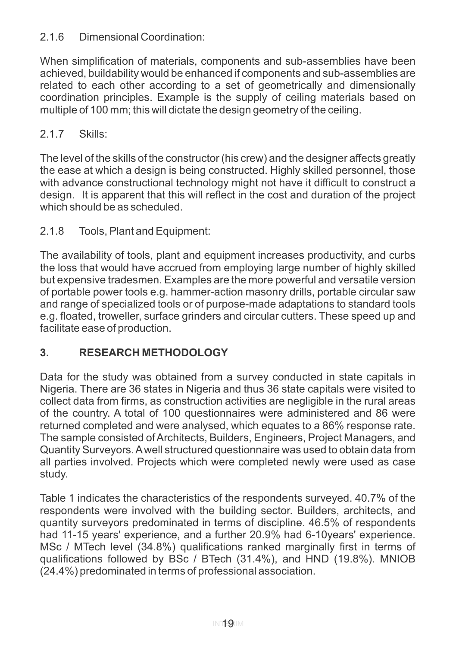### 2.1.6 Dimensional Coordination:

When simplification of materials, components and sub-assemblies have been achieved, buildability would be enhanced if components and sub-assemblies are related to each other according to a set of geometrically and dimensionally coordination principles. Example is the supply of ceiling materials based on multiple of 100 mm; this will dictate the design geometry of the ceiling.

# 2.1.7 Skills:

The level of the skills of the constructor (his crew) and the designer affects greatly the ease at which a design is being constructed. Highly skilled personnel, those with advance constructional technology might not have it difficult to construct a design. It is apparent that this will reflect in the cost and duration of the project which should be as scheduled.

# 2.1.8 Tools, Plant and Equipment:

The availability of tools, plant and equipment increases productivity, and curbs the loss that would have accrued from employing large number of highly skilled but expensive tradesmen. Examples are the more powerful and versatile version of portable power tools e.g. hammer-action masonry drills, portable circular saw and range of specialized tools or of purpose-made adaptations to standard tools e.g. floated, troweller, surface grinders and circular cutters. These speed up and facilitate ease of production.

# **3. RESEARCH METHODOLOGY**

Data for the study was obtained from a survey conducted in state capitals in Nigeria. There are 36 states in Nigeria and thus 36 state capitals were visited to collect data from firms, as construction activities are negligible in the rural areas of the country. A total of 100 questionnaires were administered and 86 were returned completed and were analysed, which equates to a 86% response rate. The sample consisted of Architects, Builders, Engineers, Project Managers, and Quantity Surveyors. Awell structured questionnaire was used to obtain data from all parties involved. Projects which were completed newly were used as case study.

Table 1 indicates the characteristics of the respondents surveyed. 40.7% of the respondents were involved with the building sector. Builders, architects, and quantity surveyors predominated in terms of discipline. 46.5% of respondents had 11-15 years' experience, and a further 20.9% had 6-10years' experience. MSc / MTech level (34.8%) qualifications ranked marginally first in terms of qualifications followed by BSc / BTech (31.4%), and HND (19.8%). MNIOB (24.4%) predominated in terms of professional association.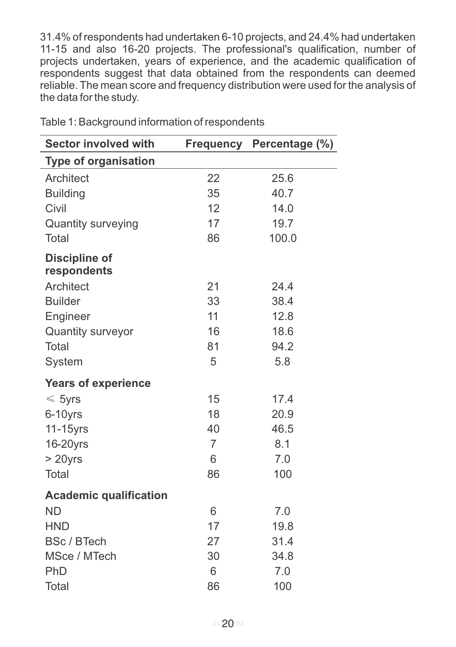31.4% of respondents had undertaken 6-10 projects, and 24.4% had undertaken 11-15 and also 16-20 projects. The professional's qualification, number of projects undertaken, years of experience, and the academic qualification of respondents suggest that data obtained from the respondents can deemed reliable. The mean score and frequency distribution were used for the analysis of the data for the study.

| <b>Sector involved with</b>         | <b>Frequency</b> | Percentage (%) |
|-------------------------------------|------------------|----------------|
| <b>Type of organisation</b>         |                  |                |
| Architect                           | 22               | 25.6           |
| <b>Building</b>                     | 35               | 40.7           |
| Civil                               | 12               | 14.0           |
| <b>Quantity surveying</b>           | 17               | 19.7           |
| Total                               | 86               | 100.0          |
| <b>Discipline of</b><br>respondents |                  |                |
| Architect                           | 21               | 24.4           |
| <b>Builder</b>                      | 33               | 38.4           |
| Engineer                            | 11               | 12.8           |
| <b>Quantity surveyor</b>            | 16               | 18.6           |
| Total                               | 81               | 94.2           |
| System                              | 5                | 5.8            |
| <b>Years of experience</b>          |                  |                |
| $\leqslant$ 5yrs                    | 15               | 17.4           |
| 6-10yrs                             | 18               | 20.9           |
| 11-15yrs                            | 40               | 46.5           |
| 16-20yrs                            | $\overline{7}$   | 8.1            |
| $>20$ yrs                           | 6                | 7.0            |
| Total                               | 86               | 100            |
| <b>Academic qualification</b>       |                  |                |
| <b>ND</b>                           | 6                | 7.0            |
| <b>HND</b>                          | 17               | 19.8           |
| <b>BSc / BTech</b>                  | 27               | 31.4           |
| MSce / MTech                        | 30               | 34.8           |
| PhD                                 | 6                | 7.0            |
| Total                               | 86               | 100            |

Table 1: Background information of respondents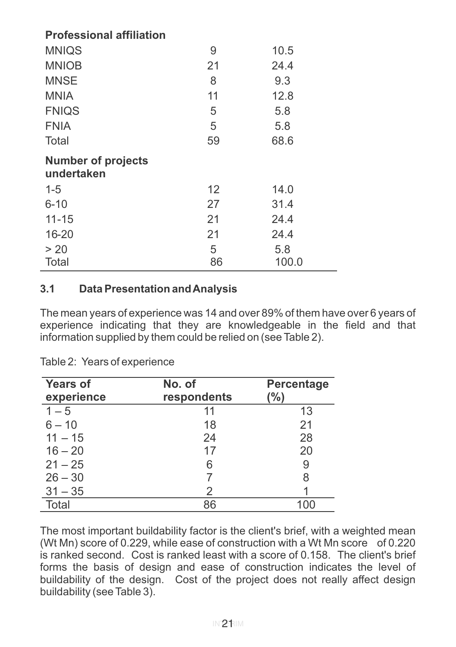| <b>Professional affiliation</b>         |    |      |
|-----------------------------------------|----|------|
| <b>MNIQS</b>                            | 9  | 10.5 |
| <b>MNIOB</b>                            | 21 | 24.4 |
| MNSE                                    | 8  | 9.3  |
| <b>MNIA</b>                             | 11 | 12.8 |
| <b>FNIQS</b>                            | 5  | 5.8  |
| <b>FNIA</b>                             | 5  | 5.8  |
| Total                                   | 59 | 68.6 |
|                                         |    |      |
| <b>Number of projects</b><br>undertaken |    |      |
| $1 - 5$                                 | 12 | 14.0 |
| $6 - 10$                                | 27 | 31.4 |
| $11 - 15$                               | 21 | 24.4 |
| 16-20                                   | 21 | 24.4 |
| > 20                                    | 5  | 5.8  |

# **3.1 Data Presentation and Analysis**

The mean years of experience was 14 and over 89% of them have over 6 years of experience indicating that they are knowledgeable in the field and that information supplied by them could be relied on (see Table 2).

| <b>Years of</b><br>experience | No. of<br>respondents | <b>Percentage</b><br>(%) |
|-------------------------------|-----------------------|--------------------------|
| $1 - 5$                       | 11                    | 13                       |
| $6 - 10$                      | 18                    | 21                       |
| $11 - 15$                     | 24                    | 28                       |
| $16 - 20$                     | 17                    | 20                       |
| $21 - 25$                     | 6                     | 9                        |
| $26 - 30$                     |                       | 8                        |
| $31 - 35$                     | 2                     |                          |
| <b>Total</b>                  | 86                    |                          |

Table 2: Years of experience

The most important buildability factor is the client's brief, with a weighted mean (Wt Mn) score of 0.229, while ease of construction with a Wt Mn score of 0.220 is ranked second. Cost is ranked least with a score of 0.158. The client's brief forms the basis of design and ease of construction indicates the level of buildability of the design. Cost of the project does not really affect design buildability (see Table 3).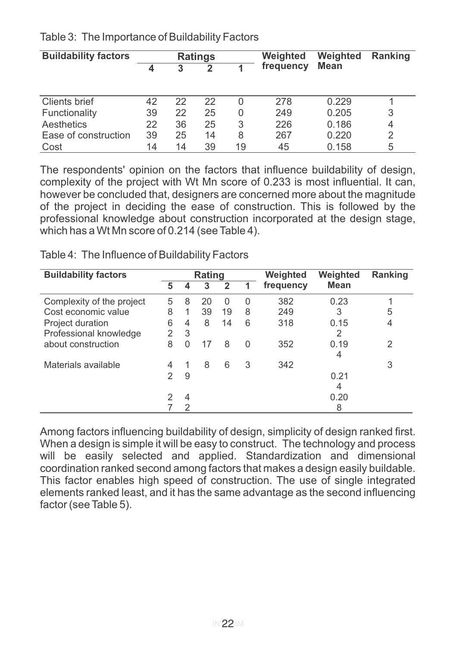| <b>Buildability factors</b> |    |    | <b>Ratings</b> |    | Weighted  | Weighted | <b>Ranking</b> |
|-----------------------------|----|----|----------------|----|-----------|----------|----------------|
|                             |    | 3  | 2              |    | frequency | Mean     |                |
|                             |    |    |                |    |           |          |                |
| Clients brief               | 42 | 22 | 22             | 0  | 278       | 0.229    |                |
| Functionality               | 39 | 22 | 25             | 0  | 249       | 0.205    | 3              |
| Aesthetics                  | 22 | 36 | 25             | 3  | 226       | 0.186    | 4              |
| Ease of construction        | 39 | 25 | 14             | 8  | 267       | 0.220    | 2              |
| Cost                        | 14 | 14 | 39             | 19 | 45        | 0.158    | 5              |

Table 3: The Importance of Buildability Factors

The respondents' opinion on the factors that influence buildability of design, complexity of the project with Wt Mn score of 0.233 is most influential. It can, however be concluded that, designers are concerned more about the magnitude of the project in deciding the ease of construction. This is followed by the professional knowledge about construction incorporated at the design stage, which has a Wt Mn score of 0.214 (see Table 4).

Table 4: The Influence of Buildability Factors

| <b>Buildability factors</b> | Rating |   |    |              |          | Weighted  | Weighted  | Ranking        |
|-----------------------------|--------|---|----|--------------|----------|-----------|-----------|----------------|
|                             | 5      |   | 3  | $\mathbf{2}$ |          | frequency | Mean      |                |
| Complexity of the project   | 5      | 8 | 20 | O            | $\Omega$ | 382       | 0.23      |                |
| Cost economic value         | 8      | 1 | 39 | 19           | 8        | 249       | 3         | 5              |
| Project duration            | 6      | 4 | 8  | 14           | 6        | 318       | 0.15      | $\overline{4}$ |
| Professional knowledge      | 2      | 3 |    |              |          |           | 2         |                |
| about construction          | 8      | 0 | 17 | 8            | 0        | 352       | 0.19<br>4 | 2              |
| Materials available         | 4      |   | 8  | 6            | 3        | 342       |           | 3              |
|                             | 2      | 9 |    |              |          |           | 0.21      |                |
|                             |        |   |    |              |          |           | 4         |                |
|                             |        | 4 |    |              |          |           | 0.20      |                |
|                             |        | 2 |    |              |          |           | 8         |                |

Among factors influencing buildability of design, simplicity of design ranked first. When a design is simple it will be easy to construct. The technology and process will be easily selected and applied. Standardization and dimensional coordination ranked second among factors that makes a design easily buildable. This factor enables high speed of construction. The use of single integrated elements ranked least, and it has the same advantage as the second influencing factor (see Table 5).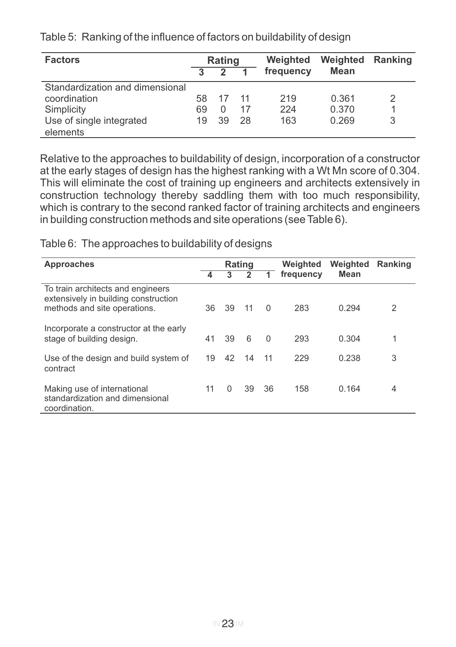| <b>Factors</b>                  | <b>Rating</b> |    |      | Weighted  | Weighted | <b>Ranking</b> |
|---------------------------------|---------------|----|------|-----------|----------|----------------|
|                                 |               |    |      | frequency | Mean     |                |
| Standardization and dimensional |               |    |      |           |          |                |
| coordination                    | 58.           | 17 | - 11 | 219       | 0.361    | 2              |
| Simplicity                      | 69            | 0  | 17   | 224       | 0.370    |                |
| Use of single integrated        | 19            | 39 | 28   | 163       | 0.269    | 3              |
| elements                        |               |    |      |           |          |                |

Table 5: Ranking of the influence of factors on buildability of design

Relative to the approaches to buildability of design, incorporation of a constructor at the early stages of design has the highest ranking with a Wt Mn score of 0.304. This will eliminate the cost of training up engineers and architects extensively in construction technology thereby saddling them with too much responsibility, which is contrary to the second ranked factor of training architects and engineers in building construction methods and site operations (see Table 6).

#### Table 6: The approaches to buildability of designs

| Approaches                                                                                                | <b>Rating</b> |          |    | Weighted | Weighted  | Ranking |   |
|-----------------------------------------------------------------------------------------------------------|---------------|----------|----|----------|-----------|---------|---|
|                                                                                                           | 4             | 3        | 2  |          | frequency | Mean    |   |
| To train architects and engineers<br>extensively in building construction<br>methods and site operations. | 36            | 39       | 11 | $\Omega$ | 283       | 0.294   | 2 |
| Incorporate a constructor at the early<br>stage of building design.                                       | 41            | 39       | 6  | $\Omega$ | 293       | 0.304   | 1 |
| Use of the design and build system of<br>contract                                                         | 19            | 42       | 14 | 11       | 229       | 0.238   | 3 |
| Making use of international<br>standardization and dimensional<br>coordination.                           | 11            | $\Omega$ | 39 | 36       | 158       | 0.164   | 4 |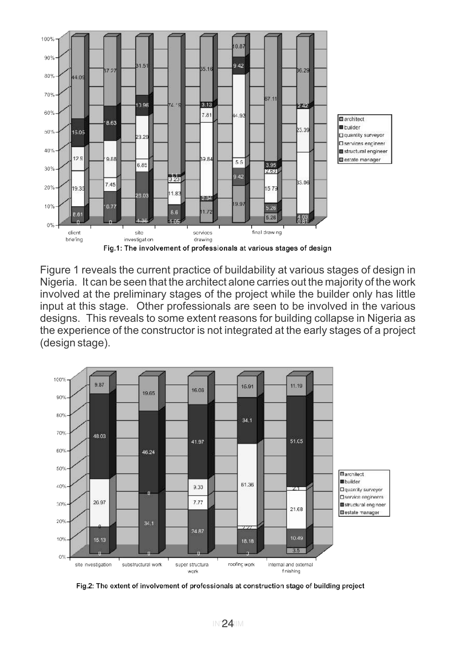

Figure 1 reveals the current practice of buildability at various stages of design in Nigeria. It can be seen that the architect alone carries out the majority of the work involved at the preliminary stages of the project while the builder only has little input at this stage. Other professionals are seen to be involved in the various designs. This reveals to some extent reasons for building collapse in Nigeria as the experience of the constructor is not integrated at the early stages of a project (design stage).



Fig.2: The extent of involvement of professionals at construction stage of building project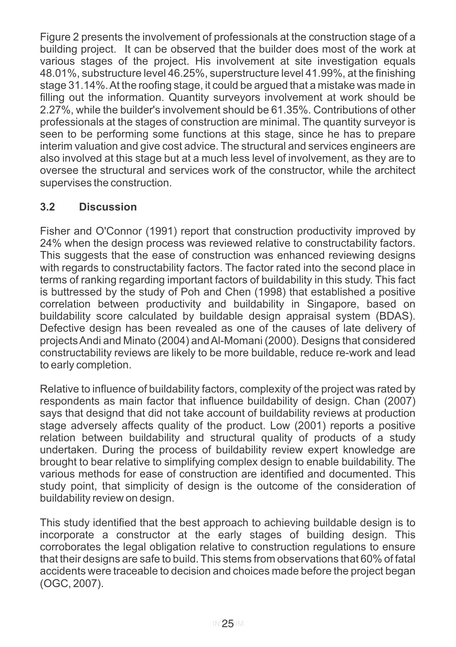Figure 2 presents the involvement of professionals at the construction stage of a building project. It can be observed that the builder does most of the work at various stages of the project. His involvement at site investigation equals 48.01%, substructure level 46.25%, superstructure level 41.99%, at the finishing stage 31.14%. At the roofing stage, it could be argued that a mistake was made in filling out the information. Quantity surveyors involvement at work should be 2.27%, while the builder's involvement should be 61.35%. Contributions of other professionals at the stages of construction are minimal. The quantity surveyor is seen to be performing some functions at this stage, since he has to prepare interim valuation and give cost advice. The structural and services engineers are also involved at this stage but at a much less level of involvement, as they are to oversee the structural and services work of the constructor, while the architect supervises the construction.

# **3.2 Discussion**

Fisher and O'Connor (1991) report that construction productivity improved by 24% when the design process was reviewed relative to constructability factors. This suggests that the ease of construction was enhanced reviewing designs with regards to constructability factors. The factor rated into the second place in terms of ranking regarding important factors of buildability in this study. This fact is buttressed by the study of Poh and Chen (1998) that established a positive correlation between productivity and buildability in Singapore, based on buildability score calculated by buildable design appraisal system (BDAS). Defective design has been revealed as one of the causes of late delivery of projects Andi and Minato (2004) and Al-Momani (2000). Designs that considered constructability reviews are likely to be more buildable, reduce re-work and lead to early completion.

Relative to influence of buildability factors, complexity of the project was rated by respondents as main factor that influence buildability of design. Chan (2007) says that designd that did not take account of buildability reviews at production stage adversely affects quality of the product. Low (2001) reports a positive relation between buildability and structural quality of products of a study undertaken. During the process of buildability review expert knowledge are brought to bear relative to simplifying complex design to enable buildability. The various methods for ease of construction are identified and documented. This study point, that simplicity of design is the outcome of the consideration of buildability review on design.

This study identified that the best approach to achieving buildable design is to incorporate a constructor at the early stages of building design. This corroborates the legal obligation relative to construction regulations to ensure that their designs are safe to build. This stems from observations that 60% of fatal accidents were traceable to decision and choices made before the project began (OGC, 2007).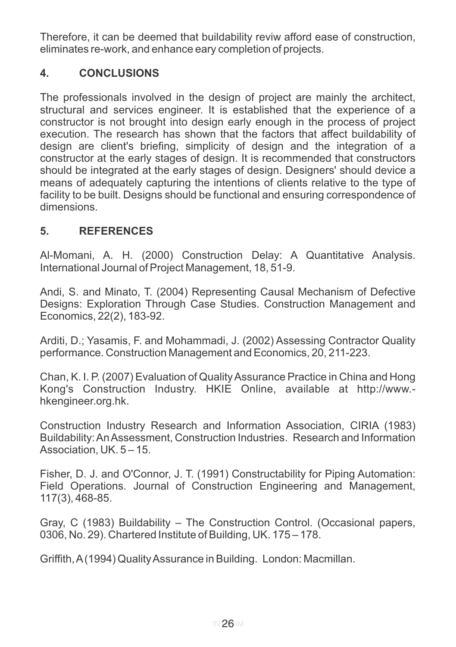Therefore, it can be deemed that buildability reviw afford ease of construction, eliminates re-work, and enhance eary completion of projects.

# **4. CONCLUSIONS**

The professionals involved in the design of project are mainly the architect, structural and services engineer. It is established that the experience of a constructor is not brought into design early enough in the process of project execution. The research has shown that the factors that affect buildability of design are client's briefing, simplicity of design and the integration of a constructor at the early stages of design. It is recommended that constructors should be integrated at the early stages of design. Designers' should device a means of adequately capturing the intentions of clients relative to the type of facility to be built. Designs should be functional and ensuring correspondence of dimensions.

# **5. REFERENCES**

Al-Momani, A. H. (2000) Construction Delay: A Quantitative Analysis. International Journal of Project Management, 18, 51-9.

Andi, S. and Minato, T. (2004) Representing Causal Mechanism of Defective Designs: Exploration Through Case Studies. Construction Management and Economics, 22(2), 183-92.

Arditi, D.; Yasamis, F. and Mohammadi, J. (2002) Assessing Contractor Quality performance. Construction Management and Economics, 20, 211-223.

Chan, K. I. P. (2007) Evaluation of Quality Assurance Practice in China and Hong Kong's Construction Industry. HKIE Online, available at http://www. hkengineer.org.hk.

Construction Industry Research and Information Association, CIRIA (1983) Buildability: An Assessment, Construction Industries. Research and Information Association, UK. 5 – 15.

Fisher, D. J. and O'Connor, J. T. (1991) Constructability for Piping Automation: Field Operations. Journal of Construction Engineering and Management, 117(3), 468-85.

Gray, C (1983) Buildability – The Construction Control. (Occasional papers, 0306, No. 29). Chartered Institute of Building, UK. 175 – 178.

Griffith, A(1994) Quality Assurance in Building. London: Macmillan.